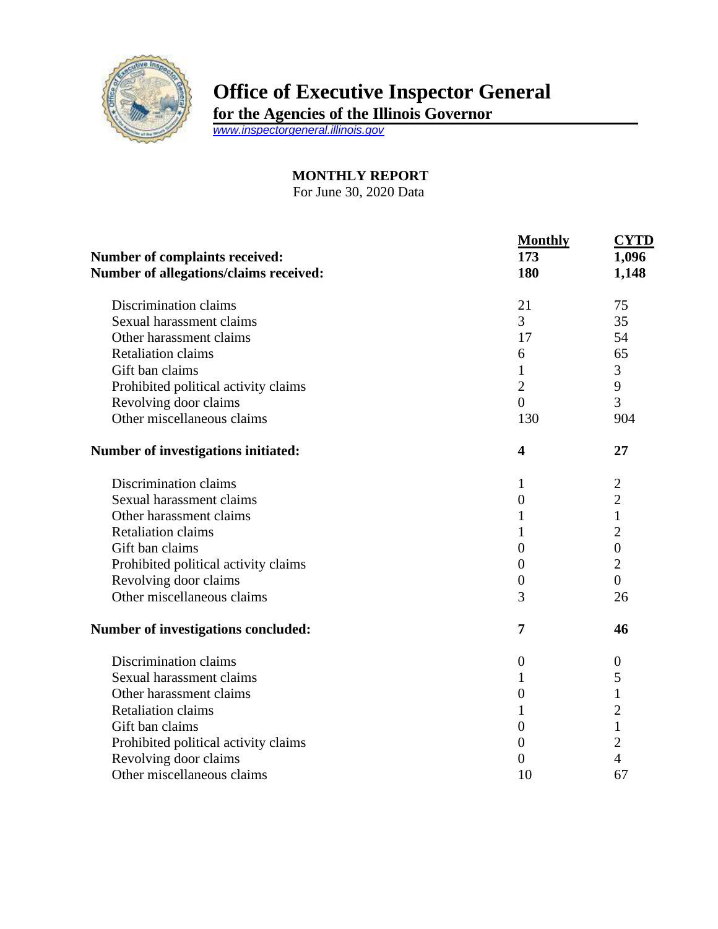

## **Office of Executive Inspector General**

**for the Agencies of the Illinois Governor**

*[www.inspectorgeneral.illinois.gov](http://www.inspectorgeneral.illinois.gov/)*

## **MONTHLY REPORT**

For June 30, 2020 Data

|                                                                          | <b>Monthly</b>          | <b>CYTD</b>      |
|--------------------------------------------------------------------------|-------------------------|------------------|
| Number of complaints received:<br>Number of allegations/claims received: | 173<br>180              | 1,096<br>1,148   |
|                                                                          |                         |                  |
| Sexual harassment claims                                                 | 3                       | 35               |
| Other harassment claims                                                  | 17                      | 54               |
| <b>Retaliation claims</b>                                                | 6                       | 65               |
| Gift ban claims                                                          | 1                       | 3                |
| Prohibited political activity claims                                     | $\overline{2}$          | 9                |
| Revolving door claims                                                    | $\overline{0}$          | 3                |
| Other miscellaneous claims                                               | 130                     | 904              |
| Number of investigations initiated:                                      | $\overline{\mathbf{4}}$ | 27               |
| Discrimination claims                                                    | 1                       | $\overline{2}$   |
| Sexual harassment claims                                                 | $\boldsymbol{0}$        | $\overline{2}$   |
| Other harassment claims                                                  | 1                       | $\mathbf{1}$     |
| <b>Retaliation claims</b>                                                | 1                       | $\overline{2}$   |
| Gift ban claims                                                          | $\boldsymbol{0}$        | $\boldsymbol{0}$ |
| Prohibited political activity claims                                     | $\overline{0}$          | $\overline{2}$   |
| Revolving door claims                                                    | $\boldsymbol{0}$        | $\overline{0}$   |
| Other miscellaneous claims                                               | 3                       | 26               |
| Number of investigations concluded:                                      | 7                       | 46               |
| Discrimination claims                                                    | $\boldsymbol{0}$        | $\boldsymbol{0}$ |
| Sexual harassment claims                                                 | 1                       | 5                |
| Other harassment claims                                                  | $\boldsymbol{0}$        | $\mathbf 1$      |
| <b>Retaliation claims</b>                                                | 1                       | $\overline{c}$   |
| Gift ban claims                                                          | $\overline{0}$          | $\mathbf{1}$     |
| Prohibited political activity claims                                     | $\theta$                | $\overline{2}$   |
| Revolving door claims                                                    | $\overline{0}$          | $\overline{4}$   |
| Other miscellaneous claims                                               | 10                      | 67               |
|                                                                          |                         |                  |